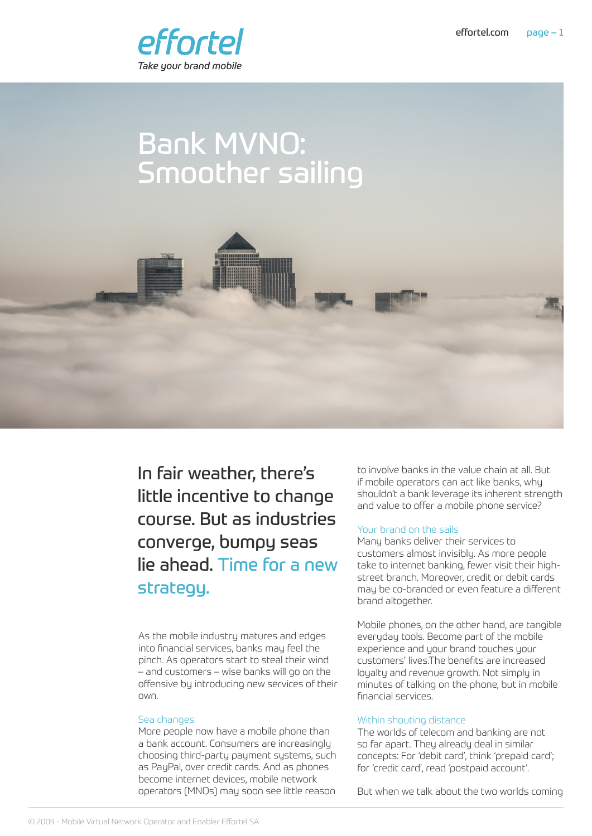

# Bank MVNO: Smoother sailing



In fair weather, there's little incentive to change course. But as industries converge, bumpy seas lie ahead. Time for a new strategy.

As the mobile industry matures and edges into financial services, banks may feel the pinch. As operators start to steal their wind – and customers – wise banks will go on the offensive by introducing new services of their own.

## Sea changes

More people now have a mobile phone than a bank account. Consumers are increasingly choosing third-party payment systems, such as PayPal, over credit cards. And as phones become internet devices, mobile network operators (MNOs) may soon see little reason

to involve banks in the value chain at all. But if mobile operators can act like banks, why shouldn't a bank leverage its inherent strength and value to offer a mobile phone service?

# Your brand on the sails

Many banks deliver their services to customers almost invisibly. As more people take to internet banking, fewer visit their highstreet branch. Moreover, credit or debit cards may be co-branded or even feature a different brand altogether.

Mobile phones, on the other hand, are tangible everyday tools. Become part of the mobile experience and your brand touches your customers' lives.The benefits are increased loyalty and revenue growth. Not simply in minutes of talking on the phone, but in mobile financial services.

#### Within shouting distance

The worlds of telecom and banking are not so far apart. They already deal in similar concepts: For 'debit card', think 'prepaid card'; for 'credit card', read 'postpaid account'.

But when we talk about the two worlds coming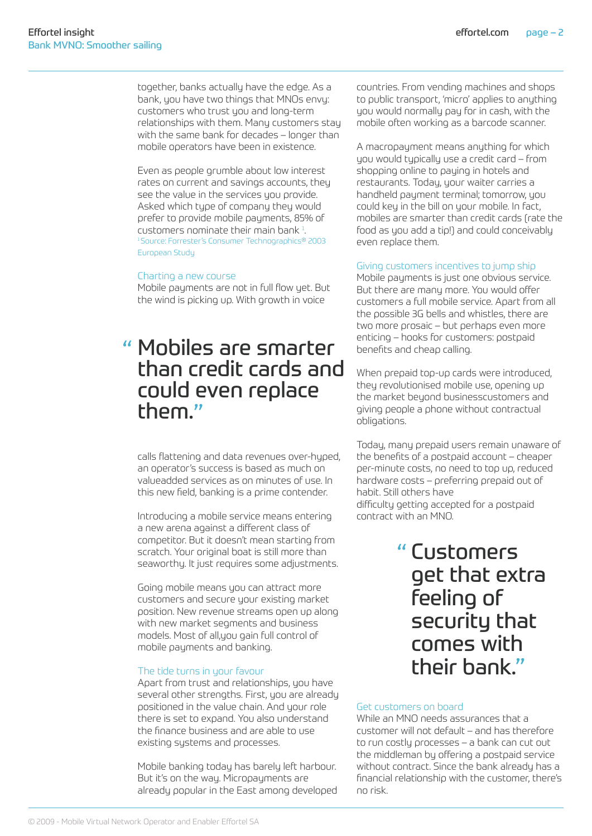together, banks actually have the edge. As a bank, you have two things that MNOs envy: customers who trust you and long-term relationships with them. Many customers stay with the same bank for decades – longer than mobile operators have been in existence.

Even as people grumble about low interest rates on current and savings accounts, they see the value in the services you provide. Asked which type of company they would prefer to provide mobile payments, 85% of customers nominate their main bank $<sup>1</sup>$ .</sup> . <sup>1</sup>Source: Forrester's Consumer Technographics® 2003 European Study

#### Charting a new course

Mobile payments are not in full flow yet. But the wind is picking up. With growth in voice

# Mobiles are smarter " than credit cards and could even replace them."

calls flattening and data revenues over-hyped, an operator's success is based as much on valueadded services as on minutes of use. In this new field, banking is a prime contender.

Introducing a mobile service means entering a new arena against a different class of competitor. But it doesn't mean starting from scratch. Your original boat is still more than seaworthy. It just requires some adjustments.

Going mobile means you can attract more customers and secure your existing market position. New revenue streams open up along with new market segments and business models. Most of all,you gain full control of mobile payments and banking.

## The tide turns in your favour

Apart from trust and relationships, you have several other strengths. First, you are already positioned in the value chain. And your role there is set to expand. You also understand the finance business and are able to use existing systems and processes.

Mobile banking today has barely left harbour. But it's on the way. Micropayments are already popular in the East among developed countries. From vending machines and shops to public transport, 'micro' applies to anything you would normally pay for in cash, with the mobile often working as a barcode scanner.

A macropayment means anything for which you would typically use a credit card – from shopping online to paying in hotels and restaurants. Today, your waiter carries a handheld payment terminal; tomorrow, you could key in the bill on your mobile. In fact, mobiles are smarter than credit cards (rate the food as you add a tip!) and could conceivably even replace them.

#### Giving customers incentives to jump ship

Mobile payments is just one obvious service. But there are many more. You would offer customers a full mobile service. Apart from all the possible 3G bells and whistles, there are two more prosaic – but perhaps even more enticing – hooks for customers: postpaid benefits and cheap calling.

When prepaid top-up cards were introduced, they revolutionised mobile use, opening up the market beyond businesscustomers and giving people a phone without contractual obligations.

Today, many prepaid users remain unaware of the benefits of a postpaid account – cheaper per-minute costs, no need to top up, reduced hardware costs – preferring prepaid out of habit. Still others have difficulty getting accepted for a postpaid contract with an MNO.

> Customers "get that extra feeling of security that comes with their bank."

## Get customers on board

While an MNO needs assurances that a customer will not default – and has therefore to run costly processes – a bank can cut out the middleman by offering a postpaid service without contract. Since the bank already has a financial relationship with the customer, there's no risk.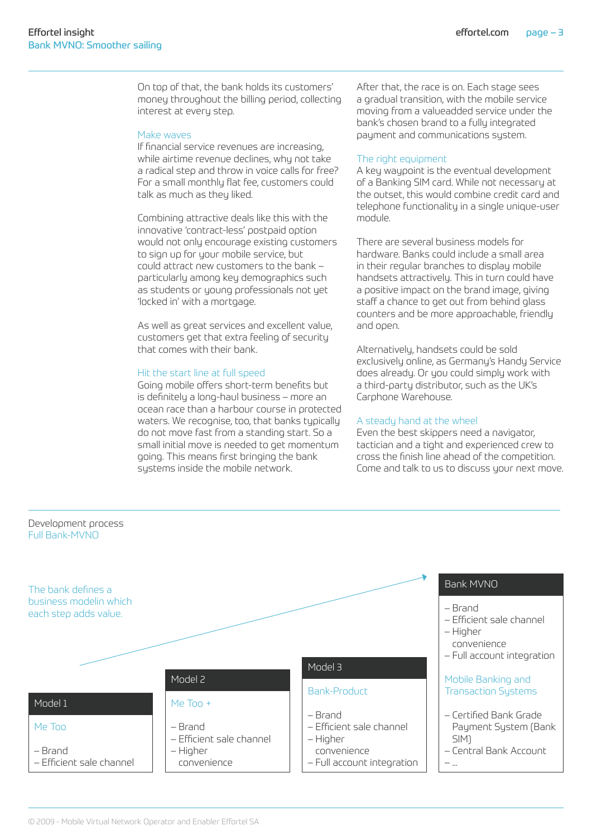On top of that, the bank holds its customers' money throughout the billing period, collecting interest at every step.

### Make waves

If financial service revenues are increasing, while airtime revenue declines, why not take a radical step and throw in voice calls for free? For a small monthly flat fee, customers could talk as much as they liked.

Combining attractive deals like this with the innovative 'contract-less' postpaid option would not only encourage existing customers to sign up for your mobile service, but could attract new customers to the bank – particularly among key demographics such as students or young professionals not yet 'locked in' with a mortgage.

As well as great services and excellent value, customers get that extra feeling of security that comes with their bank.

## Hit the start line at full speed

Going mobile offers short-term benefits but is definitely a long-haul business – more an ocean race than a harbour course in protected waters. We recognise, too, that banks typically do not move fast from a standing start. So a small initial move is needed to get momentum going. This means first bringing the bank systems inside the mobile network.

After that, the race is on. Each stage sees a gradual transition, with the mobile service moving from a valueadded service under the bank's chosen brand to a fully integrated payment and communications system.

#### The right equipment

A key waypoint is the eventual development of a Banking SIM card. While not necessary at the outset, this would combine credit card and telephone functionality in a single unique-user module.

There are several business models for hardware. Banks could include a small area in their regular branches to display mobile handsets attractively. This in turn could have a positive impact on the brand image, giving staff a chance to get out from behind glass counters and be more approachable, friendly and open.

Alternatively, handsets could be sold exclusively online, as Germany's Handy Service does already. Or you could simply work with a third-party distributor, such as the UK's Carphone Warehouse.

#### A steady hand at the wheel

Even the best skippers need a navigator, tactician and a tight and experienced crew to cross the finish line ahead of the competition. Come and talk to us to discuss your next move.